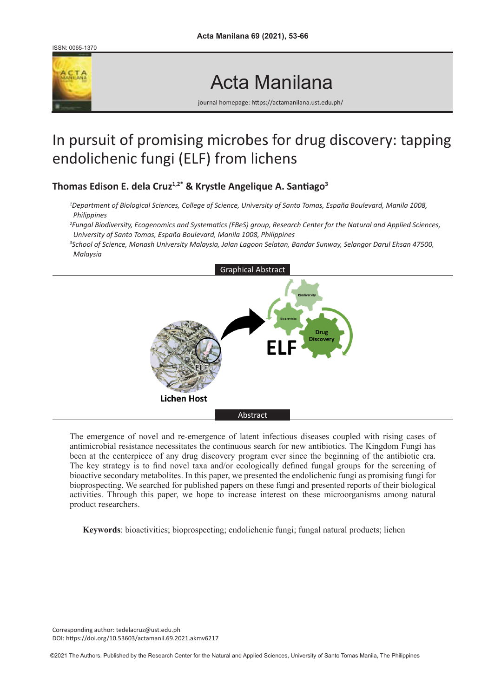ISSN: 0065-1370



# Acta Manilana

journal homepage: https://actamanilana.ust.edu.ph/

# In pursuit of promising microbes for drug discovery: tapping endolichenic fungi (ELF) from lichens

**Thomas Edison E. dela Cruz1,2\* & Krystle Angelique A. Santiago<sup>3</sup>**

- *1 Department of Biological Sciences, College of Science, University of Santo Tomas, España Boulevard, Manila 1008, Philippines*
- *2 Fungal Biodiversity, Ecogenomics and Systematics (FBeS) group, Research Center for the Natural and Applied Sciences, University of Santo Tomas, España Boulevard, Manila 1008, Philippines*
- *3 School of Science, Monash University Malaysia, Jalan Lagoon Selatan, Bandar Sunway, Selangor Darul Ehsan 47500, Malaysia*



The emergence of novel and re-emergence of latent infectious diseases coupled with rising cases of antimicrobial resistance necessitates the continuous search for new antibiotics. The Kingdom Fungi has been at the centerpiece of any drug discovery program ever since the beginning of the antibiotic era. The key strategy is to find novel taxa and/or ecologically defined fungal groups for the screening of bioactive secondary metabolites. In this paper, we presented the endolichenic fungi as promising fungi for bioprospecting. We searched for published papers on these fungi and presented reports of their biological activities. Through this paper, we hope to increase interest on these microorganisms among natural product researchers.

**Keywords**: bioactivities; bioprospecting; endolichenic fungi; fungal natural products; lichen

Corresponding author: tedelacruz@ust.edu.ph DOI: https://doi.org/10.53603/actamanil.69.2021.akmv6217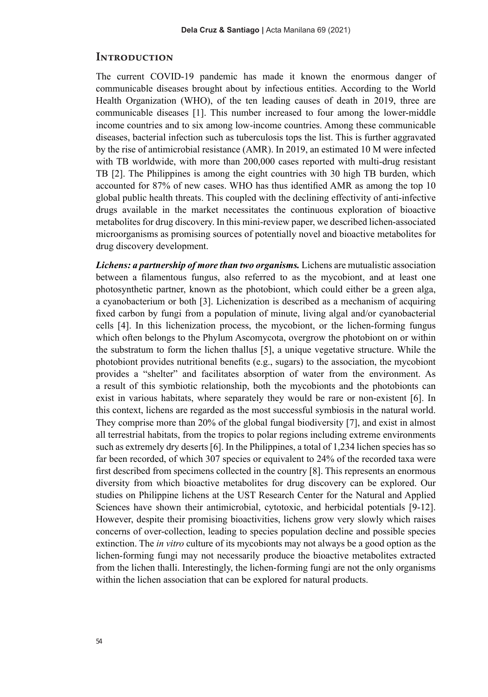#### **Introduction**

The current COVID-19 pandemic has made it known the enormous danger of communicable diseases brought about by infectious entities. According to the World Health Organization (WHO), of the ten leading causes of death in 2019, three are communicable diseases [1]. This number increased to four among the lower-middle income countries and to six among low-income countries. Among these communicable diseases, bacterial infection such as tuberculosis tops the list. This is further aggravated by the rise of antimicrobial resistance (AMR). In 2019, an estimated 10 M were infected with TB worldwide, with more than 200,000 cases reported with multi-drug resistant TB [2]. The Philippines is among the eight countries with 30 high TB burden, which accounted for 87% of new cases. WHO has thus identified AMR as among the top 10 global public health threats. This coupled with the declining effectivity of anti-infective drugs available in the market necessitates the continuous exploration of bioactive metabolites for drug discovery. In this mini-review paper, we described lichen-associated microorganisms as promising sources of potentially novel and bioactive metabolites for drug discovery development.

*Lichens: a partnership of more than two organisms.* Lichens are mutualistic association between a filamentous fungus, also referred to as the mycobiont, and at least one photosynthetic partner, known as the photobiont, which could either be a green alga, a cyanobacterium or both [3]. Lichenization is described as a mechanism of acquiring fixed carbon by fungi from a population of minute, living algal and/or cyanobacterial cells [4]. In this lichenization process, the mycobiont, or the lichen-forming fungus which often belongs to the Phylum Ascomycota, overgrow the photobiont on or within the substratum to form the lichen thallus [5], a unique vegetative structure. While the photobiont provides nutritional benefits (e.g., sugars) to the association, the mycobiont provides a "shelter" and facilitates absorption of water from the environment. As a result of this symbiotic relationship, both the mycobionts and the photobionts can exist in various habitats, where separately they would be rare or non-existent [6]. In this context, lichens are regarded as the most successful symbiosis in the natural world. They comprise more than 20% of the global fungal biodiversity [7], and exist in almost all terrestrial habitats, from the tropics to polar regions including extreme environments such as extremely dry deserts [6]. In the Philippines, a total of 1,234 lichen species has so far been recorded, of which 307 species or equivalent to 24% of the recorded taxa were first described from specimens collected in the country [8]. This represents an enormous diversity from which bioactive metabolites for drug discovery can be explored. Our studies on Philippine lichens at the UST Research Center for the Natural and Applied Sciences have shown their antimicrobial, cytotoxic, and herbicidal potentials [9-12]. However, despite their promising bioactivities, lichens grow very slowly which raises concerns of over-collection, leading to species population decline and possible species extinction. The *in vitro* culture of its mycobionts may not always be a good option as the lichen-forming fungi may not necessarily produce the bioactive metabolites extracted from the lichen thalli. Interestingly, the lichen-forming fungi are not the only organisms within the lichen association that can be explored for natural products.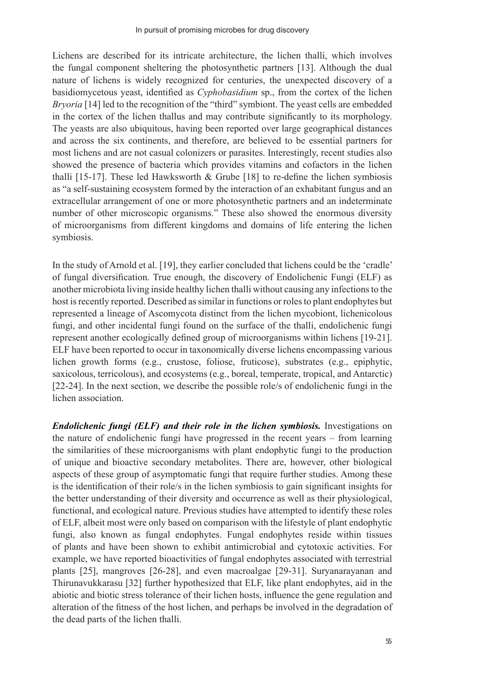Lichens are described for its intricate architecture, the lichen thalli, which involves the fungal component sheltering the photosynthetic partners [13]. Although the dual nature of lichens is widely recognized for centuries, the unexpected discovery of a basidiomycetous yeast, identified as *Cyphobasidium* sp., from the cortex of the lichen *Bryoria* [14] led to the recognition of the "third" symbiont. The yeast cells are embedded in the cortex of the lichen thallus and may contribute significantly to its morphology. The yeasts are also ubiquitous, having been reported over large geographical distances and across the six continents, and therefore, are believed to be essential partners for most lichens and are not casual colonizers or parasites. Interestingly, recent studies also showed the presence of bacteria which provides vitamins and cofactors in the lichen thalli [15-17]. These led Hawksworth  $&$  Grube [18] to re-define the lichen symbiosis as "a self-sustaining ecosystem formed by the interaction of an exhabitant fungus and an extracellular arrangement of one or more photosynthetic partners and an indeterminate number of other microscopic organisms." These also showed the enormous diversity of microorganisms from different kingdoms and domains of life entering the lichen symbiosis.

In the study of Arnold et al. [19], they earlier concluded that lichens could be the 'cradle' of fungal diversification. True enough, the discovery of Endolichenic Fungi (ELF) as another microbiota living inside healthy lichen thalli without causing any infections to the host is recently reported. Described as similar in functions or roles to plant endophytes but represented a lineage of Ascomycota distinct from the lichen mycobiont, lichenicolous fungi, and other incidental fungi found on the surface of the thalli, endolichenic fungi represent another ecologically defined group of microorganisms within lichens [19-21]. ELF have been reported to occur in taxonomically diverse lichens encompassing various lichen growth forms (e.g., crustose, foliose, fruticose), substrates (e.g., epiphytic, saxicolous, terricolous), and ecosystems (e.g., boreal, temperate, tropical, and Antarctic) [22-24]. In the next section, we describe the possible role/s of endolichenic fungi in the lichen association.

*Endolichenic fungi (ELF) and their role in the lichen symbiosis.* **Investigations on** the nature of endolichenic fungi have progressed in the recent years – from learning the similarities of these microorganisms with plant endophytic fungi to the production of unique and bioactive secondary metabolites. There are, however, other biological aspects of these group of asymptomatic fungi that require further studies. Among these is the identification of their role/s in the lichen symbiosis to gain significant insights for the better understanding of their diversity and occurrence as well as their physiological, functional, and ecological nature. Previous studies have attempted to identify these roles of ELF, albeit most were only based on comparison with the lifestyle of plant endophytic fungi, also known as fungal endophytes. Fungal endophytes reside within tissues of plants and have been shown to exhibit antimicrobial and cytotoxic activities. For example, we have reported bioactivities of fungal endophytes associated with terrestrial plants [25], mangroves [26-28], and even macroalgae [29-31]. Suryanarayanan and Thirunavukkarasu [32] further hypothesized that ELF, like plant endophytes, aid in the abiotic and biotic stress tolerance of their lichen hosts, influence the gene regulation and alteration of the fitness of the host lichen, and perhaps be involved in the degradation of the dead parts of the lichen thalli.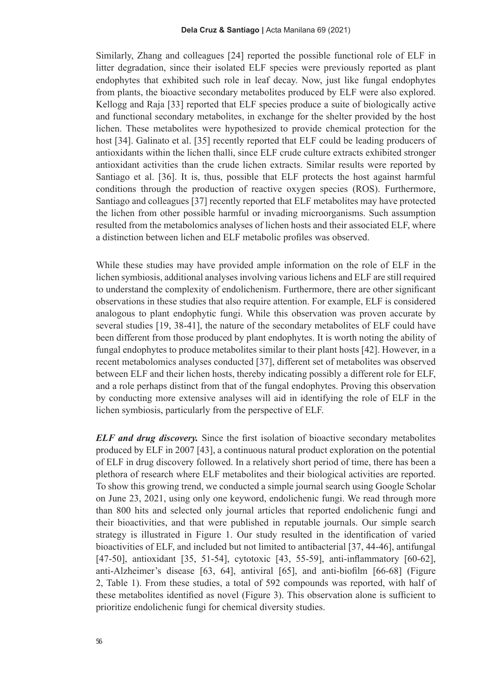Similarly, Zhang and colleagues [24] reported the possible functional role of ELF in litter degradation, since their isolated ELF species were previously reported as plant endophytes that exhibited such role in leaf decay. Now, just like fungal endophytes from plants, the bioactive secondary metabolites produced by ELF were also explored. Kellogg and Raja [33] reported that ELF species produce a suite of biologically active and functional secondary metabolites, in exchange for the shelter provided by the host lichen. These metabolites were hypothesized to provide chemical protection for the host [34]. Galinato et al. [35] recently reported that ELF could be leading producers of antioxidants within the lichen thalli, since ELF crude culture extracts exhibited stronger antioxidant activities than the crude lichen extracts. Similar results were reported by Santiago et al. [36]. It is, thus, possible that ELF protects the host against harmful conditions through the production of reactive oxygen species (ROS). Furthermore, Santiago and colleagues [37] recently reported that ELF metabolites may have protected the lichen from other possible harmful or invading microorganisms. Such assumption resulted from the metabolomics analyses of lichen hosts and their associated ELF, where a distinction between lichen and ELF metabolic profiles was observed.

While these studies may have provided ample information on the role of ELF in the lichen symbiosis, additional analyses involving various lichens and ELF are still required to understand the complexity of endolichenism. Furthermore, there are other significant observations in these studies that also require attention. For example, ELF is considered analogous to plant endophytic fungi. While this observation was proven accurate by several studies [19, 38-41], the nature of the secondary metabolites of ELF could have been different from those produced by plant endophytes. It is worth noting the ability of fungal endophytes to produce metabolites similar to their plant hosts [42]. However, in a recent metabolomics analyses conducted [37], different set of metabolites was observed between ELF and their lichen hosts, thereby indicating possibly a different role for ELF, and a role perhaps distinct from that of the fungal endophytes. Proving this observation by conducting more extensive analyses will aid in identifying the role of ELF in the lichen symbiosis, particularly from the perspective of ELF.

*ELF and drug discovery.* Since the first isolation of bioactive secondary metabolites produced by ELF in 2007 [43], a continuous natural product exploration on the potential of ELF in drug discovery followed. In a relatively short period of time, there has been a plethora of research where ELF metabolites and their biological activities are reported. To show this growing trend, we conducted a simple journal search using Google Scholar on June 23, 2021, using only one keyword, endolichenic fungi. We read through more than 800 hits and selected only journal articles that reported endolichenic fungi and their bioactivities, and that were published in reputable journals. Our simple search strategy is illustrated in Figure 1. Our study resulted in the identification of varied bioactivities of ELF, and included but not limited to antibacterial [37, 44-46], antifungal [47-50], antioxidant [35, 51-54], cytotoxic [43, 55-59], anti-inflammatory [60-62], anti-Alzheimer's disease [63, 64], antiviral [65], and anti-biofilm [66-68] (Figure 2, Table 1). From these studies, a total of 592 compounds was reported, with half of these metabolites identified as novel (Figure 3). This observation alone is sufficient to prioritize endolichenic fungi for chemical diversity studies.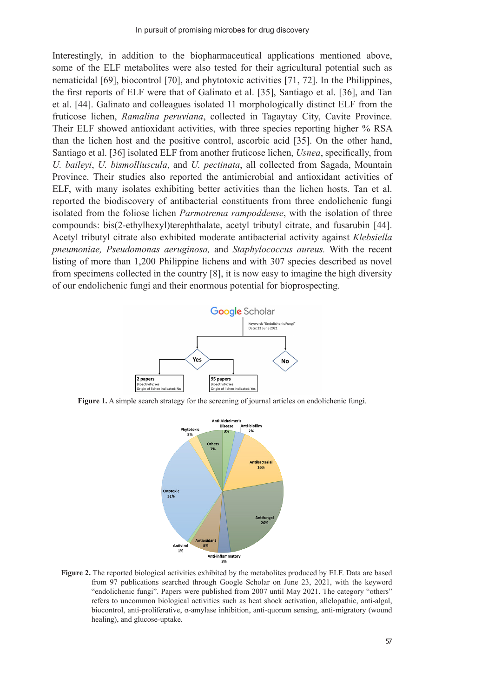Interestingly, in addition to the biopharmaceutical applications mentioned above, some of the ELF metabolites were also tested for their agricultural potential such as nematicidal [69], biocontrol [70], and phytotoxic activities [71, 72]. In the Philippines, the first reports of ELF were that of Galinato et al. [35], Santiago et al. [36], and Tan et al. [44]. Galinato and colleagues isolated 11 morphologically distinct ELF from the fruticose lichen, *Ramalina peruviana*, collected in Tagaytay City, Cavite Province. Their ELF showed antioxidant activities, with three species reporting higher % RSA than the lichen host and the positive control, ascorbic acid [35]. On the other hand, Santiago et al. [36] isolated ELF from another fruticose lichen, *Usnea*, specifically, from *U. baileyi*, *U. bismolliuscula*, and *U. pectinata*, all collected from Sagada, Mountain Province. Their studies also reported the antimicrobial and antioxidant activities of ELF, with many isolates exhibiting better activities than the lichen hosts. Tan et al. reported the biodiscovery of antibacterial constituents from three endolichenic fungi isolated from the foliose lichen *Parmotrema rampoddense*, with the isolation of three compounds: bis(2-ethylhexyl)terephthalate, acetyl tributyl citrate, and fusarubin [44]. Acetyl tributyl citrate also exhibited moderate antibacterial activity against *Klebsiella pneumoniae, Pseudomonas aeruginosa,* and *Staphylococcus aureus.* With the recent listing of more than 1,200 Philippine lichens and with 307 species described as novel from specimens collected in the country [8], it is now easy to imagine the high diversity of our endolichenic fungi and their enormous potential for bioprospecting.



**Figure 1.** A simple search strategy for the screening of journal articles on endolichenic fungi.



**Figure 2.** The reported biological activities exhibited by the metabolites produced by ELF. Data are based from 97 publications searched through Google Scholar on June 23, 2021, with the keyword "endolichenic fungi". Papers were published from 2007 until May 2021. The category "others" refers to uncommon biological activities such as heat shock activation, allelopathic, anti-algal, biocontrol, anti-proliferative, α-amylase inhibition, anti-quorum sensing, anti-migratory (wound healing), and glucose-uptake.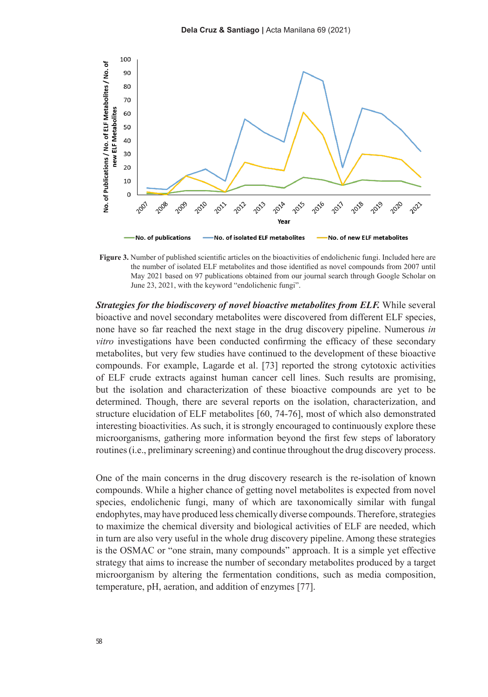

**Figure 3.** Number of published scientific articles on the bioactivities of endolichenic fungi. Included here are the number of isolated ELF metabolites and those identified as novel compounds from 2007 until May 2021 based on 97 publications obtained from our journal search through Google Scholar on June 23, 2021, with the keyword "endolichenic fungi".

*Strategies for the biodiscovery of novel bioactive metabolites from ELF.* **While several** bioactive and novel secondary metabolites were discovered from different ELF species, none have so far reached the next stage in the drug discovery pipeline. Numerous *in vitro* investigations have been conducted confirming the efficacy of these secondary metabolites, but very few studies have continued to the development of these bioactive compounds. For example, Lagarde et al. [73] reported the strong cytotoxic activities of ELF crude extracts against human cancer cell lines. Such results are promising, but the isolation and characterization of these bioactive compounds are yet to be determined. Though, there are several reports on the isolation, characterization, and structure elucidation of ELF metabolites [60, 74-76], most of which also demonstrated interesting bioactivities. As such, it is strongly encouraged to continuously explore these microorganisms, gathering more information beyond the first few steps of laboratory routines (i.e., preliminary screening) and continue throughout the drug discovery process.

One of the main concerns in the drug discovery research is the re-isolation of known compounds. While a higher chance of getting novel metabolites is expected from novel species, endolichenic fungi, many of which are taxonomically similar with fungal endophytes, may have produced less chemically diverse compounds. Therefore, strategies to maximize the chemical diversity and biological activities of ELF are needed, which in turn are also very useful in the whole drug discovery pipeline. Among these strategies is the OSMAC or "one strain, many compounds" approach. It is a simple yet effective strategy that aims to increase the number of secondary metabolites produced by a target microorganism by altering the fermentation conditions, such as media composition, temperature, pH, aeration, and addition of enzymes [77].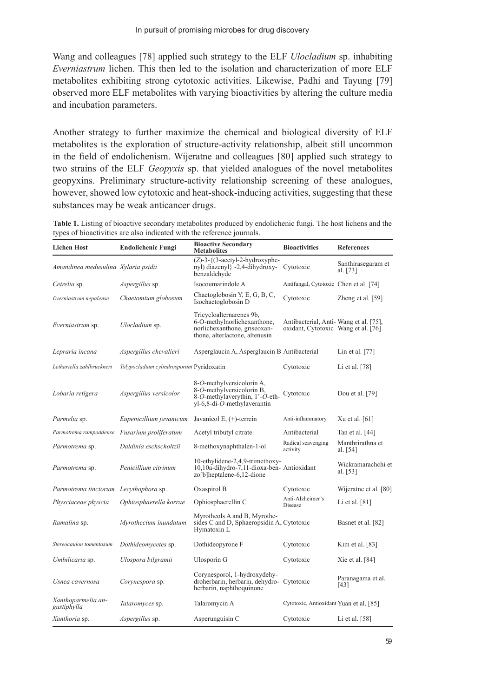Wang and colleagues [78] applied such strategy to the ELF *Ulocladium* sp. inhabiting *Everniastrum* lichen. This then led to the isolation and characterization of more ELF metabolites exhibiting strong cytotoxic activities. Likewise, Padhi and Tayung [79] observed more ELF metabolites with varying bioactivities by altering the culture media and incubation parameters.

Another strategy to further maximize the chemical and biological diversity of ELF metabolites is the exploration of structure-activity relationship, albeit still uncommon in the field of endolichenism. Wijeratne and colleagues [80] applied such strategy to two strains of the ELF *Geopyxis* sp. that yielded analogues of the novel metabolites geopyxins. Preliminary structure-activity relationship screening of these analogues, however, showed low cytotoxic and heat-shock-inducing activities, suggesting that these substances may be weak anticancer drugs.

**Table 1.** Listing of bioactive secondary metabolites produced by endolichenic fungi. The host lichens and the types of bioactivities are also indicated with the reference journals.

| Lichen Host                                  | <b>Endolichenic Fungi</b>                | <b>Bioactive Secondary</b><br>Metabolites                                                                                        | <b>Bioactivities</b>                                                         | <b>References</b>              |
|----------------------------------------------|------------------------------------------|----------------------------------------------------------------------------------------------------------------------------------|------------------------------------------------------------------------------|--------------------------------|
| Amandinea medusulina Xylaria psidii          |                                          | $(Z)$ -3- $\{$ (3-acetyl-2-hydroxyphe-<br>nyl) diazenyl} -2,4-dihydroxy-<br>benzaldehyde                                         | Cytotoxic                                                                    | Santhirasegaram et<br>al. [73] |
| Cetrelia sp.                                 | <i>Aspergillus</i> sp.                   | Isocoumarindole A                                                                                                                | Antifungal, Cytotoxic Chen et al. [74]                                       |                                |
| Everniastrum nepalense                       | Chaetomium globosum                      | Chaetoglobosin Y, E, G, B, C,<br>Isochaetoglobosin D                                                                             | Cytotoxic                                                                    | Zheng et al. [59]              |
| Everniastrum sp.                             | Ulocladium sp.                           | Tricycloalternarenes 9b,<br>6-O-methylnorlichexanthone,<br>norlichexanthone, griseoxan-<br>thone, alterlactone, altenusin        | Antibacterial, Anti-Wang et al. [75],<br>oxidant, Cytotoxic Wang et al. [76] |                                |
| Lepraria incana                              | Aspergillus chevalieri                   | Asperglaucin A, Asperglaucin B Antibacterial                                                                                     |                                                                              | Lin et al. $[77]$              |
| Lethariella zahlbruckneri                    | Tolypocladium cylindrosporum Pyridoxatin |                                                                                                                                  | Cytotoxic                                                                    | Li et al. $[78]$               |
| Lobaria retigera                             | Aspergillus versicolor                   | 8-O-methylversicolorin A,<br>8-O-methylversicolorin B,<br>8-O-methylaverythin, 1'-O-eth-<br>yl-6,8-di- <i>O</i> -methylaverantin | Cytotoxic                                                                    | Dou et al. [79]                |
| <i>Parmelia</i> sp.                          | Eupenicillium javanicum                  | Javanicol E, $(+)$ -terrein                                                                                                      | Anti-inflammatory                                                            | Xu et al. $[61]$               |
| Parmotrema rampoddense Fusarium proliferatum |                                          | Acetyl tributyl citrate                                                                                                          | Antibacterial                                                                | Tan et al. [44]                |
| Parmotrema sp.                               | Daldinia eschscholtzii                   | 8-methoxynaphthalen-1-ol                                                                                                         | Radical scavenging<br>activity                                               | Manthrirathna et<br>al. [54]   |
| Parmotrema sp.                               | Penicillium citrinum                     | 10-ethylidene-2,4,9-trimethoxy-<br>10,10a-dihydro-7,11-dioxa-ben- Antioxidant<br>zo[b]heptalene-6,12-dione                       |                                                                              | Wickramarachchi et<br>al. [53] |
| Parmotrema tinctorum Lecythophora sp.        |                                          | Oxaspirol B                                                                                                                      | Cytotoxic                                                                    | Wijeratne et al. [80]          |
| Physciaceae physcia                          | Ophiosphaerella korrae                   | Ophiosphaerellin C                                                                                                               | Anti-Alzheimer's<br>Disease                                                  | Li et al. $[81]$               |
| Ramalina sp.                                 | Myrothecium inundatum                    | Myrotheols A and B, Myrothe-<br>sides C and D, Sphaeropsidin A, Cytotoxic<br>Hymatoxin L                                         |                                                                              | Basnet et al. [82]             |
| Stereocaulon tomentosum                      | Dothideomycetes sp.                      | Dothideopyrone F                                                                                                                 | Cytotoxic                                                                    | Kim et al. $[83]$              |
| Umbilicaria sp.                              | Ulospora bilgramii                       | Ulosporin G                                                                                                                      | Cytotoxic                                                                    | Xie et al. $[84]$              |
| Usnea cavernosa                              | Corynespora sp.                          | Corynesporol, 1-hydroxydehy-<br>droherbarin, herbarin, dehydro- Cytotoxic<br>herbarin, naphthoquinone                            |                                                                              | Paranagama et al.<br>[43]      |
| Xanthoparmelia an-<br>gustiphylla            | <i>Talaromyces</i> sp.                   | Talaromycin A                                                                                                                    | Cytotoxic, Antioxidant Yuan et al. [85]                                      |                                |
| <i>Xanthoria</i> sp.                         | <i>Aspergillus</i> sp.                   | Asperunguisin C                                                                                                                  | Cytotoxic                                                                    | Li et al. $[58]$               |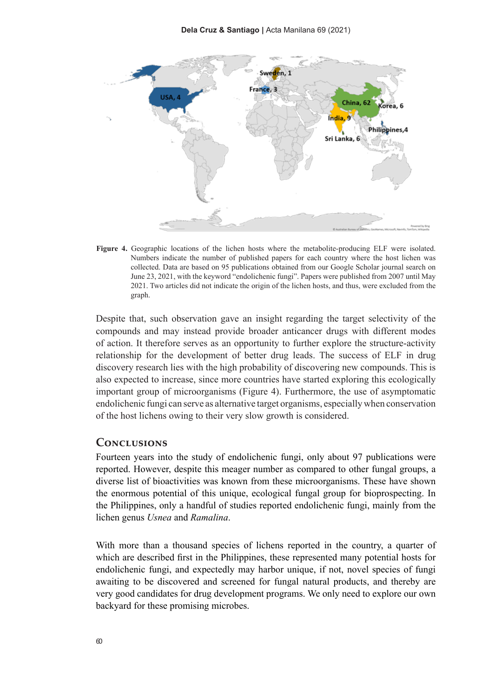

**Figure 4.** Geographic locations of the lichen hosts where the metabolite-producing ELF were isolated. Numbers indicate the number of published papers for each country where the host lichen was collected. Data are based on 95 publications obtained from our Google Scholar journal search on June 23, 2021, with the keyword "endolichenic fungi". Papers were published from 2007 until May 2021. Two articles did not indicate the origin of the lichen hosts, and thus, were excluded from the graph.

Despite that, such observation gave an insight regarding the target selectivity of the compounds and may instead provide broader anticancer drugs with different modes of action. It therefore serves as an opportunity to further explore the structure-activity relationship for the development of better drug leads. The success of ELF in drug discovery research lies with the high probability of discovering new compounds. This is also expected to increase, since more countries have started exploring this ecologically important group of microorganisms (Figure 4). Furthermore, the use of asymptomatic endolichenic fungi can serve as alternative target organisms, especially when conservation of the host lichens owing to their very slow growth is considered.

#### **Conclusions**

Fourteen years into the study of endolichenic fungi, only about 97 publications were reported. However, despite this meager number as compared to other fungal groups, a diverse list of bioactivities was known from these microorganisms. These have shown the enormous potential of this unique, ecological fungal group for bioprospecting. In the Philippines, only a handful of studies reported endolichenic fungi, mainly from the lichen genus *Usnea* and *Ramalina*.

With more than a thousand species of lichens reported in the country, a quarter of which are described first in the Philippines, these represented many potential hosts for endolichenic fungi, and expectedly may harbor unique, if not, novel species of fungi awaiting to be discovered and screened for fungal natural products, and thereby are very good candidates for drug development programs. We only need to explore our own backyard for these promising microbes.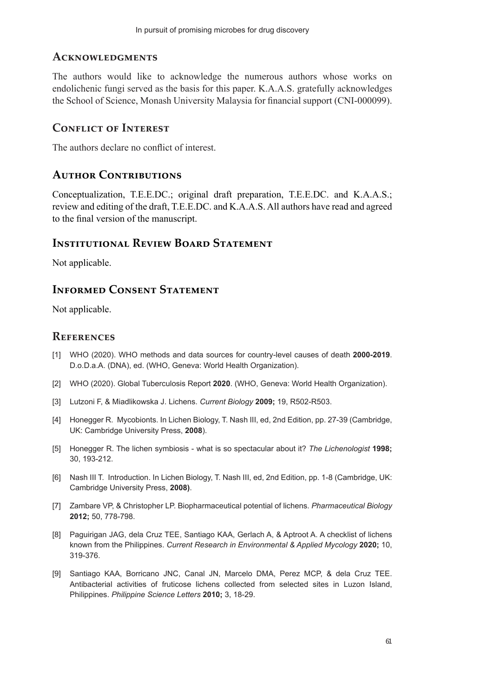#### **Acknowledgments**

The authors would like to acknowledge the numerous authors whose works on endolichenic fungi served as the basis for this paper. K.A.A.S. gratefully acknowledges the School of Science, Monash University Malaysia for financial support (CNI-000099).

#### **Conflict of Interest**

The authors declare no conflict of interest.

## **Author Contributions**

Conceptualization, T.E.E.DC.; original draft preparation, T.E.E.DC. and K.A.A.S.; review and editing of the draft, T.E.E.DC. and K.A.A.S. All authors have read and agreed to the final version of the manuscript.

#### **Institutional Review Board Statement**

Not applicable.

## **Informed Consent Statement**

Not applicable.

#### **References**

- [1] WHO (2020). WHO methods and data sources for country-level causes of death **2000-2019**. D.o.D.a.A. (DNA), ed. (WHO, Geneva: World Health Organization).
- [2] WHO (2020). Global Tuberculosis Report **2020**. (WHO, Geneva: World Health Organization).
- [3] Lutzoni F, & Miadlikowska J. Lichens. *Current Biology* **2009;** 19, R502-R503.
- [4] Honegger R. Mycobionts. In Lichen Biology, T. Nash III, ed, 2nd Edition, pp. 27-39 (Cambridge, UK: Cambridge University Press, **2008**).
- [5] Honegger R. The lichen symbiosis what is so spectacular about it? *The Lichenologist* **1998;** 30, 193-212.
- [6] Nash III T. Introduction. In Lichen Biology, T. Nash III, ed, 2nd Edition, pp. 1-8 (Cambridge, UK: Cambridge University Press, **2008)**.
- [7] Zambare VP, & Christopher LP. Biopharmaceutical potential of lichens. *Pharmaceutical Biology*  **2012;** 50, 778-798.
- [8] Paguirigan JAG, dela Cruz TEE, Santiago KAA, Gerlach A, & Aptroot A. A checklist of lichens known from the Philippines. *Current Research in Environmental & Applied Mycology* **2020;** 10, 319-376.
- [9] Santiago KAA, Borricano JNC, Canal JN, Marcelo DMA, Perez MCP, & dela Cruz TEE. Antibacterial activities of fruticose lichens collected from selected sites in Luzon Island, Philippines. *Philippine Science Letters* **2010;** 3, 18-29.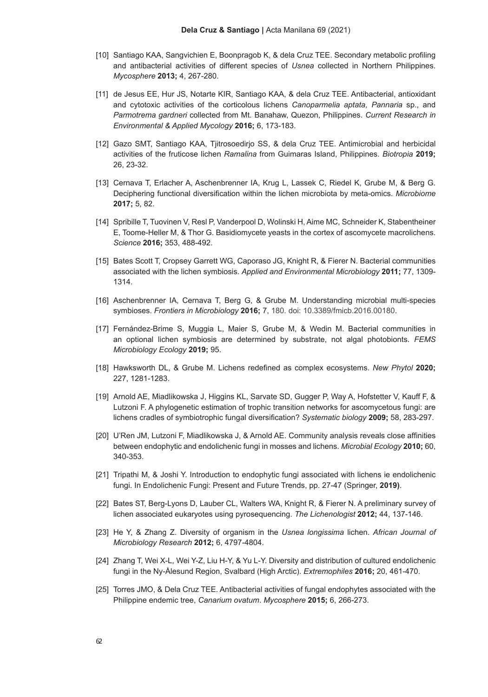- [10] Santiago KAA, Sangvichien E, Boonpragob K, & dela Cruz TEE. Secondary metabolic profiling and antibacterial activities of different species of *Usnea* collected in Northern Philippines. *Mycosphere* **2013;** 4, 267-280.
- [11] de Jesus EE, Hur JS, Notarte KIR, Santiago KAA, & dela Cruz TEE. Antibacterial, antioxidant and cytotoxic activities of the corticolous lichens *Canoparmelia aptata, Pannaria* sp., and *Parmotrema gardneri* collected from Mt. Banahaw, Quezon, Philippines. *Current Research in Environmental & Applied Mycology* **2016;** 6, 173-183.
- [12] Gazo SMT, Santiago KAA, Tjitrosoedirjo SS, & dela Cruz TEE. Antimicrobial and herbicidal activities of the fruticose lichen *Ramalina* from Guimaras Island, Philippines. *Biotropia* **2019;** 26, 23-32.
- [13] Cernava T, Erlacher A, Aschenbrenner IA, Krug L, Lassek C, Riedel K, Grube M, & Berg G. Deciphering functional diversification within the lichen microbiota by meta-omics. *Microbiome*  **2017;** 5, 82.
- [14] Spribille T, Tuovinen V, Resl P, Vanderpool D, Wolinski H, Aime MC, Schneider K, Stabentheiner E, Toome-Heller M, & Thor G. Basidiomycete yeasts in the cortex of ascomycete macrolichens. *Science* **2016;** 353, 488-492.
- [15] Bates Scott T, Cropsey Garrett WG, Caporaso JG, Knight R, & Fierer N. Bacterial communities associated with the lichen symbiosis. *Applied and Environmental Microbiology* **2011;** 77, 1309- 1314.
- [16] Aschenbrenner IA, Cernava T, Berg G, & Grube M. Understanding microbial multi-species symbioses. *Frontiers in Microbiology* **2016;** 7, 180. doi: 10.3389/fmicb.2016.00180.
- [17] Fernández-Brime S, Muggia L, Maier S, Grube M, & Wedin M. Bacterial communities in an optional lichen symbiosis are determined by substrate, not algal photobionts. *FEMS Microbiology Ecology* **2019;** 95.
- [18] Hawksworth DL, & Grube M. Lichens redefined as complex ecosystems. *New Phytol* **2020;** 227, 1281-1283.
- [19] Arnold AE, Miadlikowska J, Higgins KL, Sarvate SD, Gugger P, Way A, Hofstetter V, Kauff F, & Lutzoni F. A phylogenetic estimation of trophic transition networks for ascomycetous fungi: are lichens cradles of symbiotrophic fungal diversification? *Systematic biology* **2009;** 58, 283-297.
- [20] U'Ren JM, Lutzoni F, Miadlikowska J, & Arnold AE. Community analysis reveals close affinities between endophytic and endolichenic fungi in mosses and lichens. *Microbial Ecology* **2010;** 60, 340-353.
- [21] Tripathi M, & Joshi Y. Introduction to endophytic fungi associated with lichens ie endolichenic fungi. In Endolichenic Fungi: Present and Future Trends, pp. 27-47 (Springer, **2019)**.
- [22] Bates ST, Berg-Lyons D, Lauber CL, Walters WA, Knight R, & Fierer N. A preliminary survey of lichen associated eukaryotes using pyrosequencing. *The Lichenologist* **2012;** 44, 137-146.
- [23] He Y, & Zhang Z. Diversity of organism in the *Usnea longissima* lichen. *African Journal of Microbiology Research* **2012;** 6, 4797-4804.
- [24] Zhang T, Wei X-L, Wei Y-Z, Liu H-Y, & Yu L-Y. Diversity and distribution of cultured endolichenic fungi in the Ny-Ålesund Region, Svalbard (High Arctic). *Extremophiles* **2016;** 20, 461-470.
- [25] Torres JMO, & Dela Cruz TEE. Antibacterial activities of fungal endophytes associated with the Philippine endemic tree, *Canarium ovatum*. *Mycosphere* **2015;** 6, 266-273.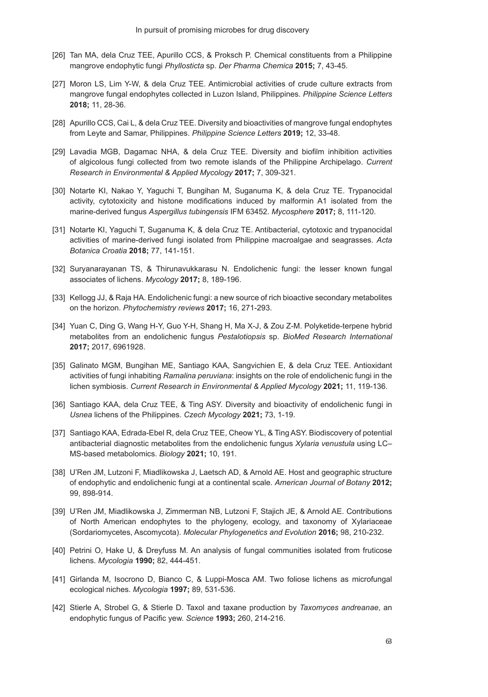- [26] Tan MA, dela Cruz TEE, Apurillo CCS, & Proksch P. Chemical constituents from a Philippine mangrove endophytic fungi *Phyllosticta* sp. *Der Pharma Chemica* **2015;** 7, 43-45.
- [27] Moron LS, Lim Y-W, & dela Cruz TEE. Antimicrobial activities of crude culture extracts from mangrove fungal endophytes collected in Luzon Island, Philippines. *Philippine Science Letters*  **2018;** 11, 28-36.
- [28] Apurillo CCS, Cai L, & dela Cruz TEE. Diversity and bioactivities of mangrove fungal endophytes from Leyte and Samar, Philippines. *Philippine Science Letters* **2019;** 12, 33-48.
- [29] Lavadia MGB, Dagamac NHA, & dela Cruz TEE. Diversity and biofilm inhibition activities of algicolous fungi collected from two remote islands of the Philippine Archipelago. *Current Research in Environmental & Applied Mycology* **2017;** 7, 309-321.
- [30] Notarte KI, Nakao Y, Yaguchi T, Bungihan M, Suganuma K, & dela Cruz TE. Trypanocidal activity, cytotoxicity and histone modifications induced by malformin A1 isolated from the marine-derived fungus *Aspergillus tubingensis* IFM 63452. *Mycosphere* **2017;** 8, 111-120.
- [31] Notarte KI, Yaguchi T, Suganuma K, & dela Cruz TE. Antibacterial, cytotoxic and trypanocidal activities of marine-derived fungi isolated from Philippine macroalgae and seagrasses. *Acta Botanica Croatia* **2018;** 77, 141-151.
- [32] Suryanarayanan TS, & Thirunavukkarasu N. Endolichenic fungi: the lesser known fungal associates of lichens. *Mycology* **2017;** 8, 189-196.
- [33] Kellogg JJ, & Raja HA. Endolichenic fungi: a new source of rich bioactive secondary metabolites on the horizon. *Phytochemistry reviews* **2017;** 16, 271-293.
- [34] Yuan C, Ding G, Wang H-Y, Guo Y-H, Shang H, Ma X-J, & Zou Z-M. Polyketide-terpene hybrid metabolites from an endolichenic fungus *Pestalotiopsis* sp. *BioMed Research International*  **2017;** 2017, 6961928.
- [35] Galinato MGM, Bungihan ME, Santiago KAA, Sangvichien E, & dela Cruz TEE. Antioxidant activities of fungi inhabiting *Ramalina peruviana*: insights on the role of endolichenic fungi in the lichen symbiosis. *Current Research in Environmental & Applied Mycology* **2021;** 11, 119-136.
- [36] Santiago KAA, dela Cruz TEE, & Ting ASY. Diversity and bioactivity of endolichenic fungi in *Usnea* lichens of the Philippines. *Czech Mycology* **2021;** 73, 1-19.
- [37] Santiago KAA, Edrada-Ebel R, dela Cruz TEE, Cheow YL, & Ting ASY. Biodiscovery of potential antibacterial diagnostic metabolites from the endolichenic fungus *Xylaria venustula* using LC– MS-based metabolomics. *Biology* **2021;** 10, 191.
- [38] U'Ren JM, Lutzoni F, Miadlikowska J, Laetsch AD, & Arnold AE. Host and geographic structure of endophytic and endolichenic fungi at a continental scale. *American Journal of Botany* **2012;** 99, 898-914.
- [39] U'Ren JM, Miadlikowska J, Zimmerman NB, Lutzoni F, Stajich JE, & Arnold AE. Contributions of North American endophytes to the phylogeny, ecology, and taxonomy of Xylariaceae (Sordariomycetes, Ascomycota). *Molecular Phylogenetics and Evolution* **2016;** 98, 210-232.
- [40] Petrini O, Hake U, & Dreyfuss M. An analysis of fungal communities isolated from fruticose lichens. *Mycologia* **1990;** 82, 444-451.
- [41] Girlanda M, Isocrono D, Bianco C, & Luppi-Mosca AM. Two foliose lichens as microfungal ecological niches. *Mycologia* **1997;** 89, 531-536.
- [42] Stierle A, Strobel G, & Stierle D. Taxol and taxane production by *Taxomyces andreanae*, an endophytic fungus of Pacific yew. *Science* **1993;** 260, 214-216.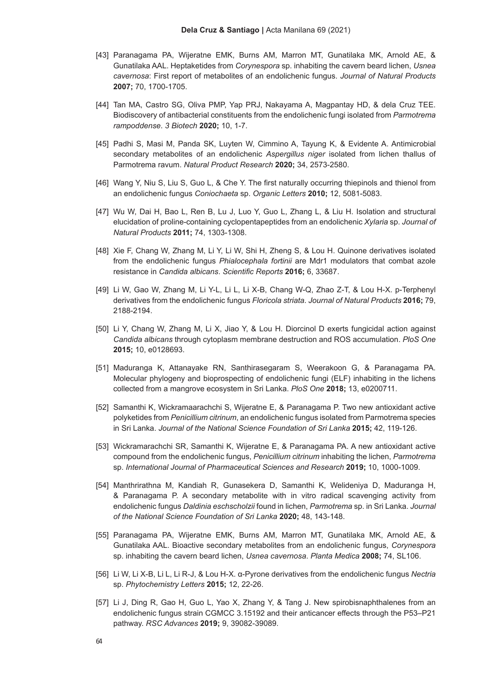- [43] Paranagama PA, Wijeratne EMK, Burns AM, Marron MT, Gunatilaka MK, Arnold AE, & Gunatilaka AAL. Heptaketides from *Corynespora* sp. inhabiting the cavern beard lichen, *Usnea cavernosa*: First report of metabolites of an endolichenic fungus. *Journal of Natural Products*  **2007;** 70, 1700-1705.
- [44] Tan MA, Castro SG, Oliva PMP, Yap PRJ, Nakayama A, Magpantay HD, & dela Cruz TEE. Biodiscovery of antibacterial constituents from the endolichenic fungi isolated from *Parmotrema rampoddense*. *3 Biotech* **2020;** 10, 1-7.
- [45] Padhi S, Masi M, Panda SK, Luyten W, Cimmino A, Tayung K, & Evidente A. Antimicrobial secondary metabolites of an endolichenic *Aspergillus niger* isolated from lichen thallus of Parmotrema ravum. *Natural Product Research* **2020;** 34, 2573-2580.
- [46] Wang Y, Niu S, Liu S, Guo L, & Che Y. The first naturally occurring thiepinols and thienol from an endolichenic fungus *Coniochaeta* sp. *Organic Letters* **2010;** 12, 5081-5083.
- [47] Wu W, Dai H, Bao L, Ren B, Lu J, Luo Y, Guo L, Zhang L, & Liu H. Isolation and structural elucidation of proline-containing cyclopentapeptides from an endolichenic *Xylaria* sp. *Journal of Natural Products* **2011;** 74, 1303-1308.
- [48] Xie F, Chang W, Zhang M, Li Y, Li W, Shi H, Zheng S, & Lou H. Quinone derivatives isolated from the endolichenic fungus *Phialocephala fortinii* are Mdr1 modulators that combat azole resistance in *Candida albicans*. *Scientific Reports* **2016;** 6, 33687.
- [49] Li W, Gao W, Zhang M, Li Y-L, Li L, Li X-B, Chang W-Q, Zhao Z-T, & Lou H-X. p-Terphenyl derivatives from the endolichenic fungus *Floricola striata*. *Journal of Natural Products* **2016;** 79, 2188-2194.
- [50] Li Y, Chang W, Zhang M, Li X, Jiao Y, & Lou H. Diorcinol D exerts fungicidal action against *Candida albicans* through cytoplasm membrane destruction and ROS accumulation. *PloS One*  **2015;** 10, e0128693.
- [51] Maduranga K, Attanayake RN, Santhirasegaram S, Weerakoon G, & Paranagama PA. Molecular phylogeny and bioprospecting of endolichenic fungi (ELF) inhabiting in the lichens collected from a mangrove ecosystem in Sri Lanka. *PloS One* **2018;** 13, e0200711.
- [52] Samanthi K, Wickramaarachchi S, Wijeratne E, & Paranagama P. Two new antioxidant active polyketides from *Penicillium citrinum*, an endolichenic fungus isolated from Parmotrema species in Sri Lanka. *Journal of the National Science Foundation of Sri Lanka* **2015;** 42, 119-126.
- [53] Wickramarachchi SR, Samanthi K, Wijeratne E, & Paranagama PA. A new antioxidant active compound from the endolichenic fungus, *Penicillium citrinum* inhabiting the lichen, *Parmotrema* sp. *International Journal of Pharmaceutical Sciences and Research* **2019;** 10, 1000-1009.
- [54] Manthrirathna M, Kandiah R, Gunasekera D, Samanthi K, Welideniya D, Maduranga H, & Paranagama P. A secondary metabolite with in vitro radical scavenging activity from endolichenic fungus *Daldinia eschscholzii* found in lichen, *Parmotrema* sp. in Sri Lanka. *Journal of the National Science Foundation of Sri Lanka* **2020;** 48, 143-148.
- [55] Paranagama PA, Wijeratne EMK, Burns AM, Marron MT, Gunatilaka MK, Arnold AE, & Gunatilaka AAL. Bioactive secondary metabolites from an endolichenic fungus, *Corynespora* sp. inhabiting the cavern beard lichen, *Usnea cavernosa*. *Planta Medica* **2008;** 74, SL106.
- [56] Li W, Li X-B, Li L, Li R-J, & Lou H-X. α-Pyrone derivatives from the endolichenic fungus *Nectria* sp. *Phytochemistry Letters* **2015;** 12, 22-26.
- [57] Li J, Ding R, Gao H, Guo L, Yao X, Zhang Y, & Tang J. New spirobisnaphthalenes from an endolichenic fungus strain CGMCC 3.15192 and their anticancer effects through the P53–P21 pathway. *RSC Advances* **2019;** 9, 39082-39089.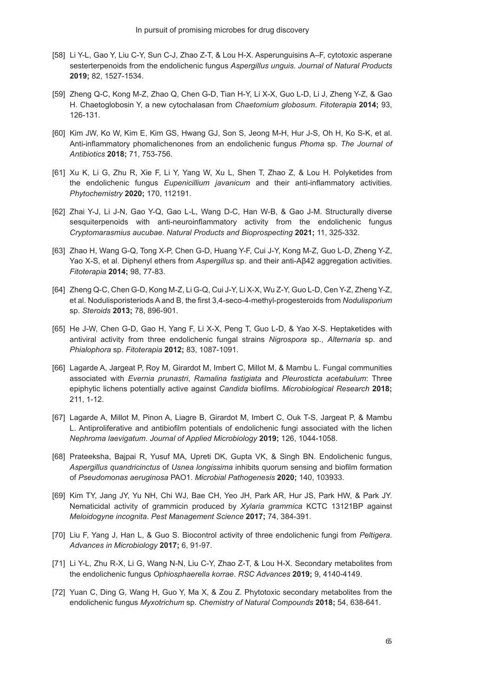- [58] Li Y-L, Gao Y, Liu C-Y, Sun C-J, Zhao Z-T, & Lou H-X. Asperunguisins A–F, cytotoxic asperane sesterterpenoids from the endolichenic fungus *Aspergillus unguis*. *Journal of Natural Products*  **2019;** 82, 1527-1534.
- [59] Zheng Q-C, Kong M-Z, Zhao Q, Chen G-D, Tian H-Y, Li X-X, Guo L-D, Li J, Zheng Y-Z, & Gao H. Chaetoglobosin Y, a new cytochalasan from *Chaetomium globosum*. *Fitoterapia* **2014;** 93, 126-131.
- [60] Kim JW, Ko W, Kim E, Kim GS, Hwang GJ, Son S, Jeong M-H, Hur J-S, Oh H, Ko S-K, et al. Anti-inflammatory phomalichenones from an endolichenic fungus *Phoma* sp. *The Journal of Antibiotics* **2018;** 71, 753-756.
- [61] Xu K, Li G, Zhu R, Xie F, Li Y, Yang W, Xu L, Shen T, Zhao Z, & Lou H. Polyketides from the endolichenic fungus *Eupenicillium javanicum* and their anti-inflammatory activities. *Phytochemistry* **2020;** 170, 112191.
- [62] Zhai Y-J, Li J-N, Gao Y-Q, Gao L-L, Wang D-C, Han W-B, & Gao J-M. Structurally diverse sesquiterpenoids with anti-neuroinflammatory activity from the endolichenic fungus *Cryptomarasmius aucubae*. *Natural Products and Bioprospecting* **2021;** 11, 325-332.
- [63] Zhao H, Wang G-Q, Tong X-P, Chen G-D, Huang Y-F, Cui J-Y, Kong M-Z, Guo L-D, Zheng Y-Z, Yao X-S, et al. Diphenyl ethers from *Aspergillus* sp. and their anti-Aβ42 aggregation activities. *Fitoterapia* **2014;** 98, 77-83.
- [64] Zheng Q-C, Chen G-D, Kong M-Z, Li G-Q, Cui J-Y, Li X-X, Wu Z-Y, Guo L-D, Cen Y-Z, Zheng Y-Z, et al. Nodulisporisteriods A and B, the first 3,4-seco-4-methyl-progesteroids from *Nodulisporium* sp. *Steroids* **2013;** 78, 896-901.
- [65] He J-W, Chen G-D, Gao H, Yang F, Li X-X, Peng T, Guo L-D, & Yao X-S. Heptaketides with antiviral activity from three endolichenic fungal strains *Nigrospora* sp., *Alternaria* sp. and *Phialophora* sp. *Fitoterapia* **2012;** 83, 1087-1091.
- [66] Lagarde A, Jargeat P, Roy M, Girardot M, Imbert C, Millot M, & Mambu L. Fungal communities associated with *Evernia prunastri*, *Ramalina fastigiata* and *Pleurosticta acetabulum*: Three epiphytic lichens potentially active against *Candida* biofilms. *Microbiological Research* **2018;** 211, 1-12.
- [67] Lagarde A, Millot M, Pinon A, Liagre B, Girardot M, Imbert C, Ouk T-S, Jargeat P, & Mambu L. Antiproliferative and antibiofilm potentials of endolichenic fungi associated with the lichen *Nephroma laevigatum*. *Journal of Applied Microbiology* **2019;** 126, 1044-1058.
- [68] Prateeksha, Bajpai R, Yusuf MA, Upreti DK, Gupta VK, & Singh BN. Endolichenic fungus, *Aspergillus quandricinctus* of *Usnea longissima* inhibits quorum sensing and biofilm formation of *Pseudomonas aeruginosa* PAO1. *Microbial Pathogenesis* **2020;** 140, 103933.
- [69] Kim TY, Jang JY, Yu NH, Chi WJ, Bae CH, Yeo JH, Park AR, Hur JS, Park HW, & Park JY. Nematicidal activity of grammicin produced by *Xylaria grammica* KCTC 13121BP against *Meloidogyne incognita*. *Pest Management Science* **2017;** 74, 384-391.
- [70] Liu F, Yang J, Han L, & Guo S. Biocontrol activity of three endolichenic fungi from *Peltigera*. *Advances in Microbiology* **2017;** 6, 91-97.
- [71] Li Y-L, Zhu R-X, Li G, Wang N-N, Liu C-Y, Zhao Z-T, & Lou H-X. Secondary metabolites from the endolichenic fungus *Ophiosphaerella korrae*. *RSC Advances* **2019;** 9, 4140-4149.
- [72] Yuan C, Ding G, Wang H, Guo Y, Ma X, & Zou Z. Phytotoxic secondary metabolites from the endolichenic fungus *Myxotrichum* sp. *Chemistry of Natural Compounds* **2018;** 54, 638-641.